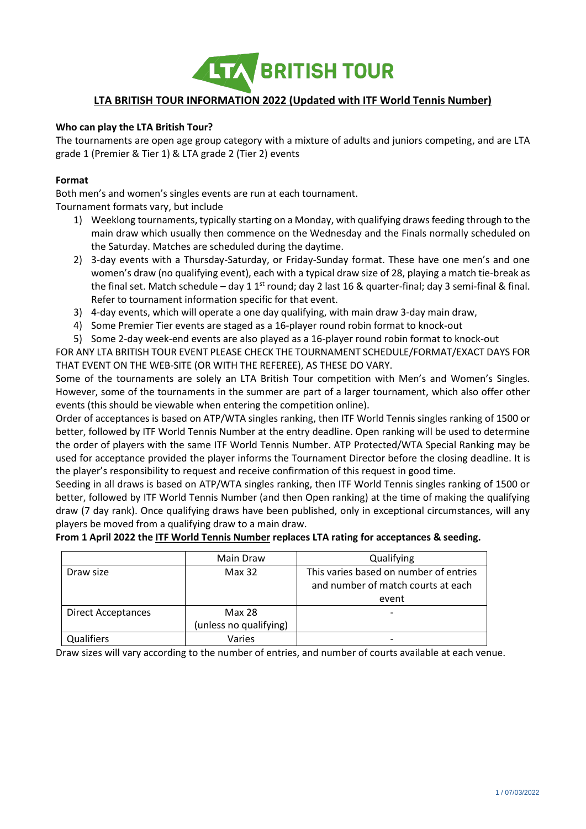

# **LTA BRITISH TOUR INFORMATION 2022 (Updated with ITF World Tennis Number)**

# **Who can play the LTA British Tour?**

The tournaments are open age group category with a mixture of adults and juniors competing, and are LTA grade 1 (Premier & Tier 1) & LTA grade 2 (Tier 2) events

## **Format**

Both men's and women's singles events are run at each tournament.

Tournament formats vary, but include

- 1) Weeklong tournaments, typically starting on a Monday, with qualifying draws feeding through to the main draw which usually then commence on the Wednesday and the Finals normally scheduled on the Saturday. Matches are scheduled during the daytime.
- 2) 3-day events with a Thursday-Saturday, or Friday-Sunday format. These have one men's and one women's draw (no qualifying event), each with a typical draw size of 28, playing a match tie-break as the final set. Match schedule – day 1 1<sup>st</sup> round; day 2 last 16 & quarter-final; day 3 semi-final & final. Refer to tournament information specific for that event.
- 3) 4-day events, which will operate a one day qualifying, with main draw 3-day main draw,
- 4) Some Premier Tier events are staged as a 16-player round robin format to knock-out
- 5) Some 2-day week-end events are also played as a 16-player round robin format to knock-out

FOR ANY LTA BRITISH TOUR EVENT PLEASE CHECK THE TOURNAMENT SCHEDULE/FORMAT/EXACT DAYS FOR THAT EVENT ON THE WEB-SITE (OR WITH THE REFEREE), AS THESE DO VARY.

Some of the tournaments are solely an LTA British Tour competition with Men's and Women's Singles. However, some of the tournaments in the summer are part of a larger tournament, which also offer other events (this should be viewable when entering the competition online).

Order of acceptances is based on ATP/WTA singles ranking, then ITF World Tennis singles ranking of 1500 or better, followed by ITF World Tennis Number at the entry deadline. Open ranking will be used to determine the order of players with the same ITF World Tennis Number. ATP Protected/WTA Special Ranking may be used for acceptance provided the player informs the Tournament Director before the closing deadline. It is the player's responsibility to request and receive confirmation of this request in good time.

Seeding in all draws is based on ATP/WTA singles ranking, then ITF World Tennis singles ranking of 1500 or better, followed by ITF World Tennis Number (and then Open ranking) at the time of making the qualifying draw (7 day rank). Once qualifying draws have been published, only in exceptional circumstances, will any players be moved from a qualifying draw to a main draw.

#### **From 1 April 2022 the ITF World Tennis Number replaces LTA rating for acceptances & seeding.**

|                           | Main Draw              | Qualifying                             |  |
|---------------------------|------------------------|----------------------------------------|--|
| Draw size                 | Max 32                 | This varies based on number of entries |  |
|                           |                        | and number of match courts at each     |  |
|                           |                        | event                                  |  |
| <b>Direct Acceptances</b> | Max 28                 | $\overline{ }$                         |  |
|                           | (unless no qualifying) |                                        |  |
| Qualifiers                | Varies                 |                                        |  |

Draw sizes will vary according to the number of entries, and number of courts available at each venue.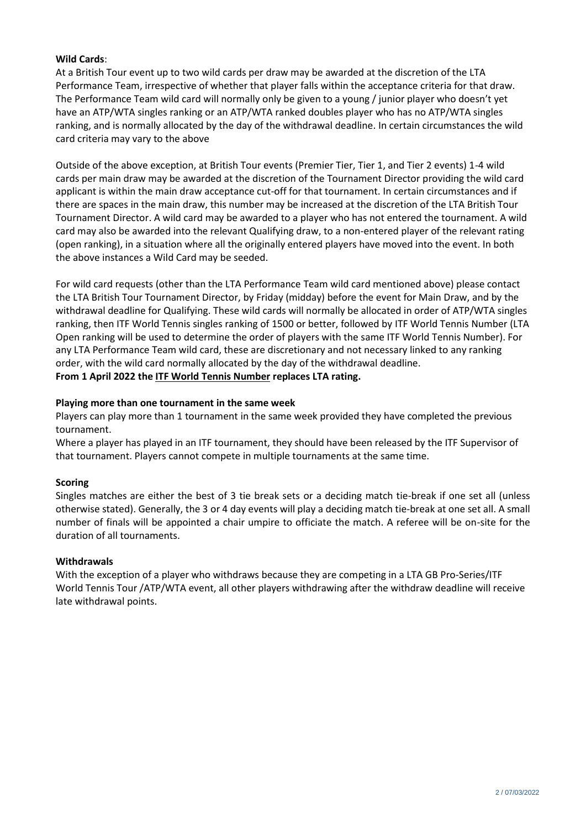# **Wild Cards**:

At a British Tour event up to two wild cards per draw may be awarded at the discretion of the LTA Performance Team, irrespective of whether that player falls within the acceptance criteria for that draw. The Performance Team wild card will normally only be given to a young / junior player who doesn't yet have an ATP/WTA singles ranking or an ATP/WTA ranked doubles player who has no ATP/WTA singles ranking, and is normally allocated by the day of the withdrawal deadline. In certain circumstances the wild card criteria may vary to the above

Outside of the above exception, at British Tour events (Premier Tier, Tier 1, and Tier 2 events) 1-4 wild cards per main draw may be awarded at the discretion of the Tournament Director providing the wild card applicant is within the main draw acceptance cut-off for that tournament. In certain circumstances and if there are spaces in the main draw, this number may be increased at the discretion of the LTA British Tour Tournament Director. A wild card may be awarded to a player who has not entered the tournament. A wild card may also be awarded into the relevant Qualifying draw, to a non-entered player of the relevant rating (open ranking), in a situation where all the originally entered players have moved into the event. In both the above instances a Wild Card may be seeded.

For wild card requests (other than the LTA Performance Team wild card mentioned above) please contact the LTA British Tour Tournament Director, by Friday (midday) before the event for Main Draw, and by the withdrawal deadline for Qualifying. These wild cards will normally be allocated in order of ATP/WTA singles ranking, then ITF World Tennis singles ranking of 1500 or better, followed by ITF World Tennis Number (LTA Open ranking will be used to determine the order of players with the same ITF World Tennis Number). For any LTA Performance Team wild card, these are discretionary and not necessary linked to any ranking order, with the wild card normally allocated by the day of the withdrawal deadline. **From 1 April 2022 the ITF World Tennis Number replaces LTA rating.**

# **Playing more than one tournament in the same week**

Players can play more than 1 tournament in the same week provided they have completed the previous tournament.

Where a player has played in an ITF tournament, they should have been released by the ITF Supervisor of that tournament. Players cannot compete in multiple tournaments at the same time.

#### **Scoring**

Singles matches are either the best of 3 tie break sets or a deciding match tie-break if one set all (unless otherwise stated). Generally, the 3 or 4 day events will play a deciding match tie-break at one set all. A small number of finals will be appointed a chair umpire to officiate the match. A referee will be on-site for the duration of all tournaments.

#### **Withdrawals**

With the exception of a player who withdraws because they are competing in a LTA GB Pro-Series/ITF World Tennis Tour /ATP/WTA event, all other players withdrawing after the withdraw deadline will receive late withdrawal points.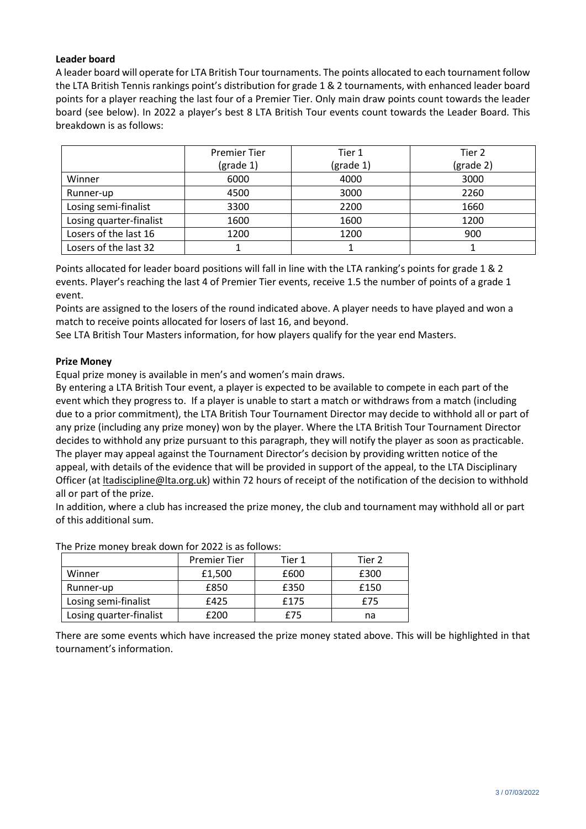# **Leader board**

A leader board will operate for LTA British Tour tournaments. The points allocated to each tournament follow the LTA British Tennis rankings point's distribution for grade 1 & 2 tournaments, with enhanced leader board points for a player reaching the last four of a Premier Tier. Only main draw points count towards the leader board (see below). In 2022 a player's best 8 LTA British Tour events count towards the Leader Board. This breakdown is as follows:

|                         | <b>Premier Tier</b>            | Tier 1             | Tier 2    |
|-------------------------|--------------------------------|--------------------|-----------|
|                         | $\left(\text{grade } 1\right)$ | $(\text{grade }1)$ | (grade 2) |
| Winner                  | 6000                           | 4000               | 3000      |
| Runner-up               | 4500                           | 3000               | 2260      |
| Losing semi-finalist    | 3300                           | 2200               | 1660      |
| Losing quarter-finalist | 1600                           | 1600               | 1200      |
| Losers of the last 16   | 1200                           | 1200               | 900       |
| Losers of the last 32   |                                |                    |           |

Points allocated for leader board positions will fall in line with the LTA ranking's points for grade 1 & 2 events. Player's reaching the last 4 of Premier Tier events, receive 1.5 the number of points of a grade 1 event.

Points are assigned to the losers of the round indicated above. A player needs to have played and won a match to receive points allocated for losers of last 16, and beyond.

See LTA British Tour Masters information, for how players qualify for the year end Masters.

#### **Prize Money**

Equal prize money is available in men's and women's main draws.

By entering a LTA British Tour event, a player is expected to be available to compete in each part of the event which they progress to. If a player is unable to start a match or withdraws from a match (including due to a prior commitment), the LTA British Tour Tournament Director may decide to withhold all or part of any prize (including any prize money) won by the player. Where the LTA British Tour Tournament Director decides to withhold any prize pursuant to this paragraph, they will notify the player as soon as practicable. The player may appeal against the Tournament Director's decision by providing written notice of the appeal, with details of the evidence that will be provided in support of the appeal, to the LTA Disciplinary Officer (at [ltadiscipline@lta.org.uk\)](mailto:ltadiscipline@lta.org.uk) within 72 hours of receipt of the notification of the decision to withhold all or part of the prize.

In addition, where a club has increased the prize money, the club and tournament may withhold all or part of this additional sum.

| THE TIME THISTICY STEAK GOWN TOT ESEE TO GOT OTTOWS. |                     |        |        |  |  |
|------------------------------------------------------|---------------------|--------|--------|--|--|
|                                                      | <b>Premier Tier</b> | Tier 1 | Tier 2 |  |  |
| Winner                                               | £1,500              | £600   | £300   |  |  |
| Runner-up                                            | £850                | £350   | £150   |  |  |
| Losing semi-finalist                                 | £425                | £175   | £75    |  |  |
| Losing quarter-finalist                              | £200                | F75    | na     |  |  |

The Prize money break down for 2022 is as follows:

There are some events which have increased the prize money stated above. This will be highlighted in that tournament's information.